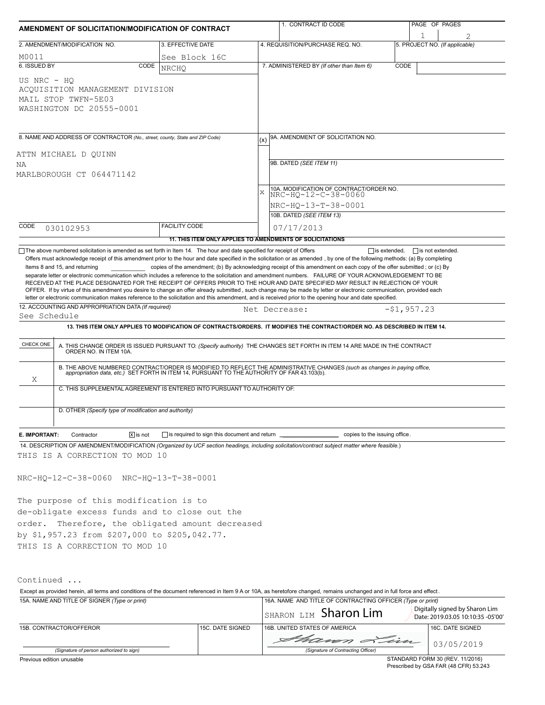| AMENDMENT OF SOLICITATION/MODIFICATION OF CONTRACT |                                                                                                                         |                                                           |           | 1. CONTRACT ID CODE                                                                                                                                                                                                                                                                                                                                                                                                                                                                                                                                                                                                                                                                                                                                                           |               |                         | PAGE OF PAGES                  |  |  |  |
|----------------------------------------------------|-------------------------------------------------------------------------------------------------------------------------|-----------------------------------------------------------|-----------|-------------------------------------------------------------------------------------------------------------------------------------------------------------------------------------------------------------------------------------------------------------------------------------------------------------------------------------------------------------------------------------------------------------------------------------------------------------------------------------------------------------------------------------------------------------------------------------------------------------------------------------------------------------------------------------------------------------------------------------------------------------------------------|---------------|-------------------------|--------------------------------|--|--|--|
|                                                    |                                                                                                                         |                                                           |           |                                                                                                                                                                                                                                                                                                                                                                                                                                                                                                                                                                                                                                                                                                                                                                               |               |                         |                                |  |  |  |
|                                                    | 2. AMENDMENT/MODIFICATION NO.                                                                                           | 3. EFFECTIVE DATE                                         |           | 4. REQUISITION/PURCHASE REQ. NO.                                                                                                                                                                                                                                                                                                                                                                                                                                                                                                                                                                                                                                                                                                                                              |               |                         | 5. PROJECT NO. (If applicable) |  |  |  |
| M0011<br>6. ISSUED BY                              | CODE                                                                                                                    | See Block 16C                                             |           | 7. ADMINISTERED BY (If other than Item 6)                                                                                                                                                                                                                                                                                                                                                                                                                                                                                                                                                                                                                                                                                                                                     | CODE          |                         |                                |  |  |  |
|                                                    |                                                                                                                         | <b>NRCHO</b>                                              |           |                                                                                                                                                                                                                                                                                                                                                                                                                                                                                                                                                                                                                                                                                                                                                                               |               |                         |                                |  |  |  |
| US NRC - HO                                        | ACQUISITION MANAGEMENT DIVISION<br>MAIL STOP TWFN-5E03<br>WASHINGTON DC 20555-0001                                      |                                                           |           |                                                                                                                                                                                                                                                                                                                                                                                                                                                                                                                                                                                                                                                                                                                                                                               |               |                         |                                |  |  |  |
|                                                    | 8. NAME AND ADDRESS OF CONTRACTOR (No., street, county, State and ZIP Code)                                             |                                                           |           | 9A. AMENDMENT OF SOLICITATION NO.                                                                                                                                                                                                                                                                                                                                                                                                                                                                                                                                                                                                                                                                                                                                             |               |                         |                                |  |  |  |
|                                                    |                                                                                                                         |                                                           |           |                                                                                                                                                                                                                                                                                                                                                                                                                                                                                                                                                                                                                                                                                                                                                                               |               |                         |                                |  |  |  |
| ATTN MICHAEL D QUINN<br>ΝA                         |                                                                                                                         |                                                           |           | 9B. DATED (SEE ITEM 11)                                                                                                                                                                                                                                                                                                                                                                                                                                                                                                                                                                                                                                                                                                                                                       |               |                         |                                |  |  |  |
|                                                    | MARLBOROUGH CT 064471142                                                                                                |                                                           |           |                                                                                                                                                                                                                                                                                                                                                                                                                                                                                                                                                                                                                                                                                                                                                                               |               |                         |                                |  |  |  |
|                                                    |                                                                                                                         |                                                           |           | 10A. MODIFICATION OF CONTRACT/ORDER NO.                                                                                                                                                                                                                                                                                                                                                                                                                                                                                                                                                                                                                                                                                                                                       |               |                         |                                |  |  |  |
|                                                    |                                                                                                                         |                                                           | $\bar{x}$ | NRC-HO-12-C-38-0060                                                                                                                                                                                                                                                                                                                                                                                                                                                                                                                                                                                                                                                                                                                                                           |               |                         |                                |  |  |  |
|                                                    |                                                                                                                         |                                                           |           | NRC-HQ-13-T-38-0001                                                                                                                                                                                                                                                                                                                                                                                                                                                                                                                                                                                                                                                                                                                                                           |               |                         |                                |  |  |  |
|                                                    |                                                                                                                         |                                                           |           | 10B. DATED (SEE ITEM 13)                                                                                                                                                                                                                                                                                                                                                                                                                                                                                                                                                                                                                                                                                                                                                      |               |                         |                                |  |  |  |
| CODE                                               | 030102953                                                                                                               | FACILITY CODE                                             |           | 07/17/2013                                                                                                                                                                                                                                                                                                                                                                                                                                                                                                                                                                                                                                                                                                                                                                    |               |                         |                                |  |  |  |
|                                                    | □ The above numbered solicitation is amended as set forth in Item 14. The hour and date specified for receipt of Offers | 11. THIS ITEM ONLY APPLIES TO AMENDMENTS OF SOLICITATIONS |           | $\Box$ is extended,                                                                                                                                                                                                                                                                                                                                                                                                                                                                                                                                                                                                                                                                                                                                                           |               | $\Box$ is not extended. |                                |  |  |  |
| See Schedule                                       | 12. ACCOUNTING AND APPROPRIATION DATA (If required)                                                                     |                                                           |           | separate letter or electronic communication which includes a reference to the solicitation and amendment numbers. FAILURE OF YOUR ACKNOWLEDGEMENT TO BE<br>RECEIVED AT THE PLACE DESIGNATED FOR THE RECEIPT OF OFFERS PRIOR TO THE HOUR AND DATE SPECIFIED MAY RESULT IN REJECTION OF YOUR<br>OFFER. If by virtue of this amendment you desire to change an offer already submitted, such change may be made by letter or electronic communication, provided each<br>letter or electronic communication makes reference to the solicitation and this amendment, and is received prior to the opening hour and date specified.<br>Net Decrease:<br>13. THIS ITEM ONLY APPLIES TO MODIFICATION OF CONTRACTS/ORDERS. IT MODIFIES THE CONTRACT/ORDER NO. AS DESCRIBED IN ITEM 14. | $-51, 957.23$ |                         |                                |  |  |  |
| CHECK ONE                                          |                                                                                                                         |                                                           |           | A. THIS CHANGE ORDER IS ISSUED PURSUANT TO: (Specify authority) THE CHANGES SET FORTH IN ITEM 14 ARE MADE IN THE CONTRACT ORDER NO. IN ITEM 10A.                                                                                                                                                                                                                                                                                                                                                                                                                                                                                                                                                                                                                              |               |                         |                                |  |  |  |
|                                                    |                                                                                                                         |                                                           |           |                                                                                                                                                                                                                                                                                                                                                                                                                                                                                                                                                                                                                                                                                                                                                                               |               |                         |                                |  |  |  |
| Χ                                                  |                                                                                                                         |                                                           |           | B. THE ABOVE NUMBERED CONTRACT/ORDER IS MODIFIED TO REFLECT THE ADMINISTRATIVE CHANGES (such as changes in paying office,<br>appropriation data, etc.) SET FORTH IN ITEM 14, PURSUANT TO THE AUTHORITY OF FAR 43.103(b).                                                                                                                                                                                                                                                                                                                                                                                                                                                                                                                                                      |               |                         |                                |  |  |  |
|                                                    | C. THIS SUPPLEMENTAL AGREEMENT IS ENTERED INTO PURSUANT TO AUTHORITY OF:                                                |                                                           |           |                                                                                                                                                                                                                                                                                                                                                                                                                                                                                                                                                                                                                                                                                                                                                                               |               |                         |                                |  |  |  |
|                                                    | D. OTHER (Specify type of modification and authority)                                                                   |                                                           |           |                                                                                                                                                                                                                                                                                                                                                                                                                                                                                                                                                                                                                                                                                                                                                                               |               |                         |                                |  |  |  |
| E. IMPORTANT:                                      | $\boxed{\mathsf{x}}$ is not<br>Contractor                                                                               | is required to sign this document and return _            |           | copies to the issuing office.                                                                                                                                                                                                                                                                                                                                                                                                                                                                                                                                                                                                                                                                                                                                                 |               |                         |                                |  |  |  |
|                                                    |                                                                                                                         |                                                           |           | 14. DESCRIPTION OF AMENDMENT/MODIFICATION (Organized by UCF section headings, including solicitation/contract subject matter where feasible.)                                                                                                                                                                                                                                                                                                                                                                                                                                                                                                                                                                                                                                 |               |                         |                                |  |  |  |
|                                                    | THIS IS A CORRECTION TO MOD 10                                                                                          |                                                           |           |                                                                                                                                                                                                                                                                                                                                                                                                                                                                                                                                                                                                                                                                                                                                                                               |               |                         |                                |  |  |  |
|                                                    | NRC-HQ-12-C-38-0060 NRC-HQ-13-T-38-0001                                                                                 |                                                           |           |                                                                                                                                                                                                                                                                                                                                                                                                                                                                                                                                                                                                                                                                                                                                                                               |               |                         |                                |  |  |  |
|                                                    | The purpose of this modification is to                                                                                  |                                                           |           |                                                                                                                                                                                                                                                                                                                                                                                                                                                                                                                                                                                                                                                                                                                                                                               |               |                         |                                |  |  |  |
|                                                    | de-obligate excess funds and to close out the                                                                           |                                                           |           |                                                                                                                                                                                                                                                                                                                                                                                                                                                                                                                                                                                                                                                                                                                                                                               |               |                         |                                |  |  |  |
|                                                    | order. Therefore, the obligated amount decreased                                                                        |                                                           |           |                                                                                                                                                                                                                                                                                                                                                                                                                                                                                                                                                                                                                                                                                                                                                                               |               |                         |                                |  |  |  |
|                                                    | by \$1,957.23 from \$207,000 to \$205,042.77.                                                                           |                                                           |           |                                                                                                                                                                                                                                                                                                                                                                                                                                                                                                                                                                                                                                                                                                                                                                               |               |                         |                                |  |  |  |
|                                                    | THIS IS A CORRECTION TO MOD 10                                                                                          |                                                           |           |                                                                                                                                                                                                                                                                                                                                                                                                                                                                                                                                                                                                                                                                                                                                                                               |               |                         |                                |  |  |  |
| Continued                                          |                                                                                                                         |                                                           |           |                                                                                                                                                                                                                                                                                                                                                                                                                                                                                                                                                                                                                                                                                                                                                                               |               |                         |                                |  |  |  |
|                                                    |                                                                                                                         |                                                           |           | Except as provided herein, all terms and conditions of the document referenced in Item 9 A or 10A, as heretofore changed, remains unchanged and in full force and effect.                                                                                                                                                                                                                                                                                                                                                                                                                                                                                                                                                                                                     |               |                         |                                |  |  |  |
|                                                    | 15A. NAME AND TITLE OF SIGNER (Type or print)                                                                           |                                                           |           | 16A. NAME AND TITLE OF CONTRACTING OFFICER (Type or print)<br>SHARON LIM Sharon I im                                                                                                                                                                                                                                                                                                                                                                                                                                                                                                                                                                                                                                                                                          |               |                         | Digitally signed by Sharon Lim |  |  |  |

|                                          |                  | $ $ <sub>SHARON LIM</sub> Sharon Lim | Digitally signed by Sharon Lim<br>Date: 2019.03.05 10:10:35 -05'00' |  |  |  |  |
|------------------------------------------|------------------|--------------------------------------|---------------------------------------------------------------------|--|--|--|--|
| 15B. CONTRACTOR/OFFEROR                  | 15C. DATE SIGNED | 16B. UNITED STATES OF AMERICA        | 16C. DATE SIGNED                                                    |  |  |  |  |
|                                          |                  | Sharm Line 03/05/2019                |                                                                     |  |  |  |  |
| (Signature of person authorized to sign) |                  | (Signature of Contracting Officer)   |                                                                     |  |  |  |  |
| .                                        |                  |                                      |                                                                     |  |  |  |  |

Previous edition unusable

STANDARD FORM 30 (REV. 11/2016) Prescribed by GSA FAR (48 CFR) 53.243